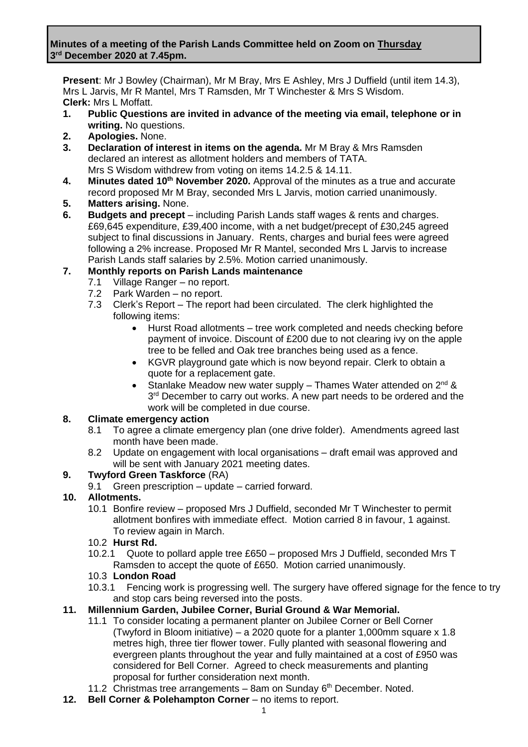#### **Minutes of a meeting of the Parish Lands Committee held on Zoom on Thursday 3 rd December 2020 at 7.45pm.**

**Present**: Mr J Bowley (Chairman), Mr M Bray, Mrs E Ashley, Mrs J Duffield (until item 14.3), Mrs L Jarvis, Mr R Mantel, Mrs T Ramsden, Mr T Winchester & Mrs S Wisdom. **Clerk:** Mrs L Moffatt.

- **1. Public Questions are invited in advance of the meeting via email, telephone or in writing.** No questions.
- **2. Apologies.** None.
- **3. Declaration of interest in items on the agenda.** Mr M Bray & Mrs Ramsden declared an interest as allotment holders and members of TATA. Mrs S Wisdom withdrew from voting on items 14.2.5 & 14.11.
- **4. Minutes dated 10th November 2020.** Approval of the minutes as a true and accurate record proposed Mr M Bray, seconded Mrs L Jarvis, motion carried unanimously.
- **5. Matters arising.** None.
- **6. Budgets and precept** including Parish Lands staff wages & rents and charges. £69,645 expenditure, £39,400 income, with a net budget/precept of £30,245 agreed subject to final discussions in January. Rents, charges and burial fees were agreed following a 2% increase. Proposed Mr R Mantel, seconded Mrs L Jarvis to increase Parish Lands staff salaries by 2.5%. Motion carried unanimously.

## **7. Monthly reports on Parish Lands maintenance**

- 7.1 Village Ranger no report.
- 7.2 Park Warden no report.
- 7.3 Clerk's Report The report had been circulated. The clerk highlighted the following items:
	- Hurst Road allotments tree work completed and needs checking before payment of invoice. Discount of £200 due to not clearing ivy on the apple tree to be felled and Oak tree branches being used as a fence.
	- KGVR playground gate which is now beyond repair. Clerk to obtain a quote for a replacement gate.
	- Stanlake Meadow new water supply Thames Water attended on  $2^{nd}$  & 3<sup>rd</sup> December to carry out works. A new part needs to be ordered and the work will be completed in due course.

#### **8. Climate emergency action**

- 8.1 To agree a climate emergency plan (one drive folder). Amendments agreed last month have been made.
- 8.2 Update on engagement with local organisations draft email was approved and will be sent with January 2021 meeting dates.

#### **9. Twyford Green Taskforce** (RA)

9.1 Green prescription – update – carried forward.

## **10. Allotments.**

10.1 Bonfire review – proposed Mrs J Duffield, seconded Mr T Winchester to permit allotment bonfires with immediate effect. Motion carried 8 in favour, 1 against. To review again in March.

## 10.2 **Hurst Rd.**

10.2.1 Quote to pollard apple tree £650 – proposed Mrs J Duffield, seconded Mrs T Ramsden to accept the quote of £650. Motion carried unanimously.

#### 10.3 **London Road**

10.3.1 Fencing work is progressing well. The surgery have offered signage for the fence to try and stop cars being reversed into the posts.

## **11. Millennium Garden, Jubilee Corner, Burial Ground & War Memorial.**

- 11.1 To consider locating a permanent planter on Jubilee Corner or Bell Corner (Twyford in Bloom initiative) – a 2020 quote for a planter 1,000mm square  $x$  1.8 metres high, three tier flower tower. Fully planted with seasonal flowering and evergreen plants throughout the year and fully maintained at a cost of £950 was considered for Bell Corner. Agreed to check measurements and planting proposal for further consideration next month.
- 11.2 Christmas tree arrangements  $-$  8am on Sunday  $6<sup>th</sup>$  December. Noted.
- **12. Bell Corner & Polehampton Corner** no items to report.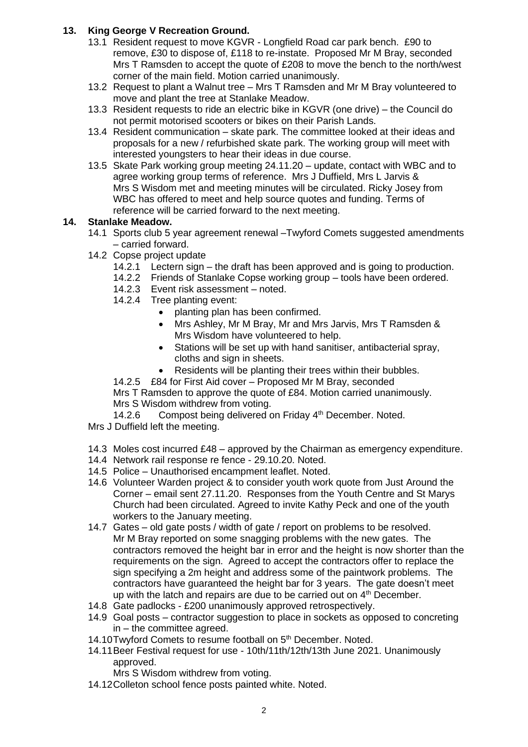## **13. King George V Recreation Ground.**

- 13.1 Resident request to move KGVR Longfield Road car park bench. £90 to remove, £30 to dispose of, £118 to re-instate. Proposed Mr M Bray, seconded Mrs T Ramsden to accept the quote of £208 to move the bench to the north/west corner of the main field. Motion carried unanimously.
- 13.2 Request to plant a Walnut tree Mrs T Ramsden and Mr M Bray volunteered to move and plant the tree at Stanlake Meadow.
- 13.3 Resident requests to ride an electric bike in KGVR (one drive) the Council do not permit motorised scooters or bikes on their Parish Lands.
- 13.4 Resident communication skate park. The committee looked at their ideas and proposals for a new / refurbished skate park. The working group will meet with interested youngsters to hear their ideas in due course.
- 13.5 Skate Park working group meeting 24.11.20 update, contact with WBC and to agree working group terms of reference. Mrs J Duffield, Mrs L Jarvis & Mrs S Wisdom met and meeting minutes will be circulated. Ricky Josey from WBC has offered to meet and help source quotes and funding. Terms of reference will be carried forward to the next meeting.

## **14. Stanlake Meadow.**

- 14.1 Sports club 5 year agreement renewal –Twyford Comets suggested amendments – carried forward.
- 14.2 Copse project update
	- 14.2.1 Lectern sign the draft has been approved and is going to production.
	- 14.2.2 Friends of Stanlake Copse working group tools have been ordered.
	- 14.2.3 Event risk assessment noted.
	- 14.2.4 Tree planting event:
		- planting plan has been confirmed.
		- Mrs Ashley, Mr M Bray, Mr and Mrs Jarvis, Mrs T Ramsden & Mrs Wisdom have volunteered to help.
		- Stations will be set up with hand sanitiser, antibacterial spray, cloths and sign in sheets.
		- Residents will be planting their trees within their bubbles.
	- 14.2.5 £84 for First Aid cover Proposed Mr M Bray, seconded

Mrs T Ramsden to approve the quote of £84. Motion carried unanimously. Mrs S Wisdom withdrew from voting.

14.2.6 Compost being delivered on Friday 4<sup>th</sup> December. Noted.

- Mrs J Duffield left the meeting.
- 14.3 Moles cost incurred £48 approved by the Chairman as emergency expenditure.
- 14.4 Network rail response re fence 29.10.20. Noted.
- 14.5 Police Unauthorised encampment leaflet. Noted.
- 14.6 Volunteer Warden project & to consider youth work quote from Just Around the Corner – email sent 27.11.20. Responses from the Youth Centre and St Marys Church had been circulated. Agreed to invite Kathy Peck and one of the youth workers to the January meeting.
- 14.7 Gates old gate posts / width of gate / report on problems to be resolved. Mr M Bray reported on some snagging problems with the new gates. The contractors removed the height bar in error and the height is now shorter than the requirements on the sign. Agreed to accept the contractors offer to replace the sign specifying a 2m height and address some of the paintwork problems. The contractors have guaranteed the height bar for 3 years. The gate doesn't meet up with the latch and repairs are due to be carried out on  $4<sup>th</sup>$  December.
- 14.8 Gate padlocks £200 unanimously approved retrospectively.
- 14.9 Goal posts contractor suggestion to place in sockets as opposed to concreting in – the committee agreed.
- 14.10Twyford Comets to resume football on 5<sup>th</sup> December. Noted.
- 14.11Beer Festival request for use 10th/11th/12th/13th June 2021. Unanimously approved.
	- Mrs S Wisdom withdrew from voting.
- 14.12Colleton school fence posts painted white. Noted.